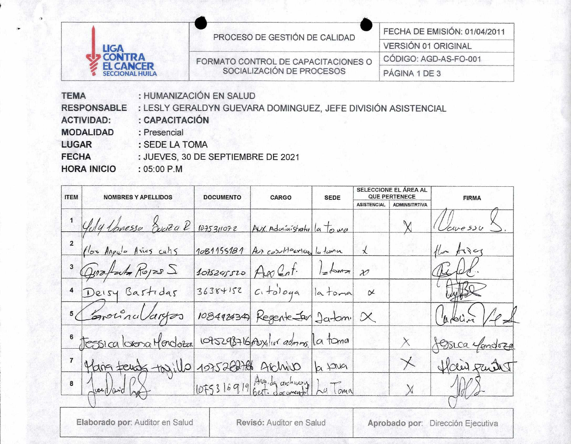|                                            |                                     | FECHA DE EMISIÓN: 01/04/2011 |  |  |
|--------------------------------------------|-------------------------------------|------------------------------|--|--|
| <b>LIGA</b>                                | PROCESO DE GESTIÓN DE CALIDAD       | <b>VERSIÓN 01 ORIGINAL</b>   |  |  |
| <b>CONTRA</b>                              | FORMATO CONTROL DE CAPACITACIONES O | CÓDIGO: AGD-AS-FO-001        |  |  |
| <b>EL CANCER</b><br><b>SECCIONAL HUILA</b> | SOCIALIZACIÓN DE PROCESOS           | PÁGINA 1 DE 3                |  |  |

: HUMANIZACIÓN EN SALUD **TEMA** 

: LESLY GERALDYN GUEVARA DOMINGUEZ, JEFE DIVISIÓN ASISTENCIAL **RESPONSABLE** 

- **ACTIVIDAD:** : CAPACITACIÓN
	- : Presencial
- LUGAR : SEDE LA TOMA

**FECHA** : JUEVES, 30 DE SEPTIEMBRE DE 2021

**HORA INICIO** 

**MODALIDAD** 

 $:05:00$  P.M

| <b>ITEM</b>          | <b>NOMBRES Y APELLIDOS</b>                        | <b>DOCUMENTO</b> | <b>CARGO</b>                          | <b>SEDE</b> |                    | SELECCIONE EL ÁREA AL<br><b>QUE PERTENECE</b> | <b>FIRMA</b>                      |
|----------------------|---------------------------------------------------|------------------|---------------------------------------|-------------|--------------------|-----------------------------------------------|-----------------------------------|
|                      |                                                   |                  |                                       |             | <b>ASISTENCIAL</b> | <b>ADMINSITRTIVA</b>                          |                                   |
|                      | Yely Lanessa Souta R                              |                  | 1075311072 AUX. Administrativ la tour |             |                    |                                               | (Vouce su                         |
|                      | flor Angula Aries culis                           |                  | 1081155181 Aux contraction la tema    |             |                    |                                               | the fines                         |
|                      | Quatato Royes S                                   |                  | 1088245520 An Cont. Labora 20         |             |                    |                                               | Redd.                             |
| $\ddot{\phantom{a}}$ | Deisy Bastidas                                    |                  | $36384152$ $c. + 0.0099$ la toma      |             | $\alpha$           |                                               | Julise                            |
|                      | 5 Coronaldryos                                    |                  | 108492434) Regente Jarlon X           |             |                    |                                               | Carbin / P.A                      |
|                      | tessica lorona Mordoza                            |                  | 1075298716 Auxiliar admins. La toma   |             |                    | $\times$                                      | Jessica efendoza                  |
|                      |                                                   |                  |                                       |             |                    | $\times$                                      | flair part 1                      |
|                      | " Maria feuds togillo 1075202786 Archivos Ja 1240 |                  |                                       |             |                    |                                               |                                   |
|                      |                                                   |                  |                                       |             |                    |                                               |                                   |
|                      | Elaborado por: Auditor en Salud                   |                  | Revisó: Auditor en Salud              |             |                    |                                               | Aprobado por: Dirección Ejecutiva |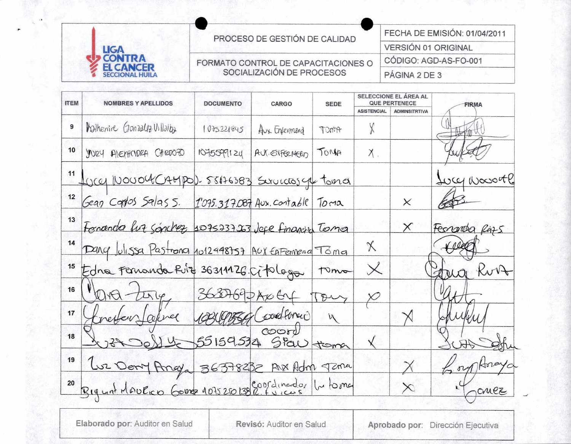| <b>LIGA</b><br><b>CONTRA</b><br><b>EL CANCER</b><br><b>SECCIONAL HUILA</b> |  |
|----------------------------------------------------------------------------|--|

PROCESO DE GESTIÓN DE CALIDAD

FORMATO CONTROL DE CAPACITACIONES O SOCIALIZACIÓN DE PROCESOS

FECHA DE EMISIÓN: 01/04/2011 VERSIÓN 01 ORIGINAL CÓDIGO: AGD-AS-FO-001

PÁGINA 2 DE 3

| <b>ITEM</b>      | <b>NOMBRES Y APELLIDOS</b>                          | <b>DOCUMENTO</b> | <b>CARGO</b>    | <b>SEDE</b> | SELECCIONE EL AREA AL<br><b>QUE PERTENECE</b> |                      | <b>FIRMA</b>           |
|------------------|-----------------------------------------------------|------------------|-----------------|-------------|-----------------------------------------------|----------------------|------------------------|
|                  |                                                     |                  |                 |             | <b>ASISTENCIAL</b>                            | <b>ADMINSITRTIVA</b> |                        |
| 9                | Walherine Gonzalez Villalba                         | 1075221845       | Avx Enferment   | TOMA        |                                               |                      |                        |
| 10               | YORY ALEXACIDEA CARDOZO                             | 1075599124       | AUX. ENFERMERIT | TOMA        | $X_{\cdot}$                                   |                      |                        |
| 11               | forey Novour CAMPOD. 58176383 Survices get toma     |                  |                 |             |                                               |                      | Lucy Nocontl           |
| 12               | Gean Cardos Salas 5. 1095.317087 Aux. contable Toma |                  |                 |             |                                               | ×                    |                        |
| 13               | Formenda fut sanchez 107533723 Jepe financia Terma  |                  |                 |             |                                               | $\times$             | Ferrarda Razs          |
| 14               | Dang Julissa Pastrona 1012448757 AUX EAFermena Toma |                  |                 |             | X                                             |                      |                        |
| $15\overline{)}$ | Edna Fernanda Rive 36311126. Ciploga                |                  |                 | tomo        | $\times$                                      |                      | Kort                   |
| 16               | Ora tury 363769-24064 Tony                          |                  |                 |             |                                               |                      |                        |
| 17               | retter Jakree 10849356 (cond former)                |                  |                 | M           |                                               |                      |                        |
| 18               | 1022 0014 55159534 Stav toma                        |                  |                 |             |                                               |                      |                        |
| 19               | Luz Deny Angla 36378232 AVX Adm Tzma                |                  |                 |             |                                               |                      | Horay<br>$\mathcal{M}$ |
| 20               | Bigunt Mourico Gome 107520138 @ Coordinado, pu toma |                  |                 |             |                                               | $\times$             | omez                   |
|                  |                                                     |                  |                 |             |                                               |                      |                        |

Elaborado por: Auditor en Salud